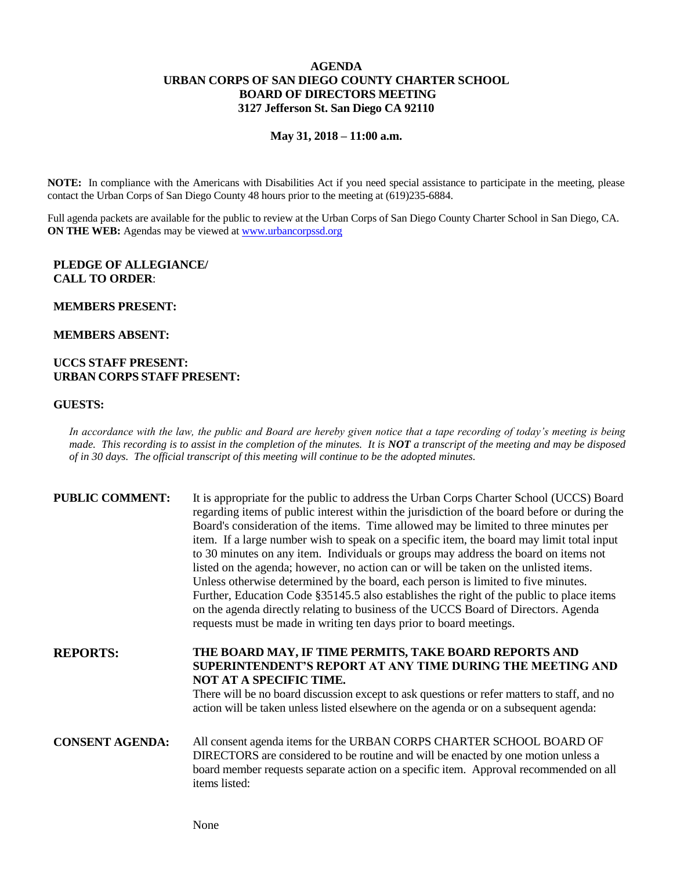# **AGENDA URBAN CORPS OF SAN DIEGO COUNTY CHARTER SCHOOL BOARD OF DIRECTORS MEETING 3127 Jefferson St. San Diego CA 92110**

#### **May 31, 2018 – 11:00 a.m.**

**NOTE:** In compliance with the Americans with Disabilities Act if you need special assistance to participate in the meeting, please contact the Urban Corps of San Diego County 48 hours prior to the meeting at (619)235-6884.

Full agenda packets are available for the public to review at the Urban Corps of San Diego County Charter School in San Diego, CA. **ON THE WEB:** Agendas may be viewed at [www.urbancorpssd.org](http://www.urbancorpssd.org/)

### **PLEDGE OF ALLEGIANCE/ CALL TO ORDER**:

### **MEMBERS PRESENT:**

#### **MEMBERS ABSENT:**

## **UCCS STAFF PRESENT: URBAN CORPS STAFF PRESENT:**

## **GUESTS:**

*In accordance with the law, the public and Board are hereby given notice that a tape recording of today's meeting is being made. This recording is to assist in the completion of the minutes. It is NOT a transcript of the meeting and may be disposed of in 30 days. The official transcript of this meeting will continue to be the adopted minutes.*

| <b>PUBLIC COMMENT:</b> | It is appropriate for the public to address the Urban Corps Charter School (UCCS) Board<br>regarding items of public interest within the jurisdiction of the board before or during the<br>Board's consideration of the items. Time allowed may be limited to three minutes per<br>item. If a large number wish to speak on a specific item, the board may limit total input<br>to 30 minutes on any item. Individuals or groups may address the board on items not<br>listed on the agenda; however, no action can or will be taken on the unlisted items.<br>Unless otherwise determined by the board, each person is limited to five minutes.<br>Further, Education Code §35145.5 also establishes the right of the public to place items<br>on the agenda directly relating to business of the UCCS Board of Directors. Agenda<br>requests must be made in writing ten days prior to board meetings. |
|------------------------|----------------------------------------------------------------------------------------------------------------------------------------------------------------------------------------------------------------------------------------------------------------------------------------------------------------------------------------------------------------------------------------------------------------------------------------------------------------------------------------------------------------------------------------------------------------------------------------------------------------------------------------------------------------------------------------------------------------------------------------------------------------------------------------------------------------------------------------------------------------------------------------------------------|
| <b>REPORTS:</b>        | THE BOARD MAY, IF TIME PERMITS, TAKE BOARD REPORTS AND<br>SUPERINTENDENT'S REPORT AT ANY TIME DURING THE MEETING AND<br>NOT AT A SPECIFIC TIME.<br>There will be no board discussion except to ask questions or refer matters to staff, and no<br>action will be taken unless listed elsewhere on the agenda or on a subsequent agenda:                                                                                                                                                                                                                                                                                                                                                                                                                                                                                                                                                                  |
| <b>CONSENT AGENDA:</b> | All consent agenda items for the URBAN CORPS CHARTER SCHOOL BOARD OF<br>DIRECTORS are considered to be routine and will be enacted by one motion unless a<br>board member requests separate action on a specific item. Approval recommended on all<br>items listed:                                                                                                                                                                                                                                                                                                                                                                                                                                                                                                                                                                                                                                      |

None